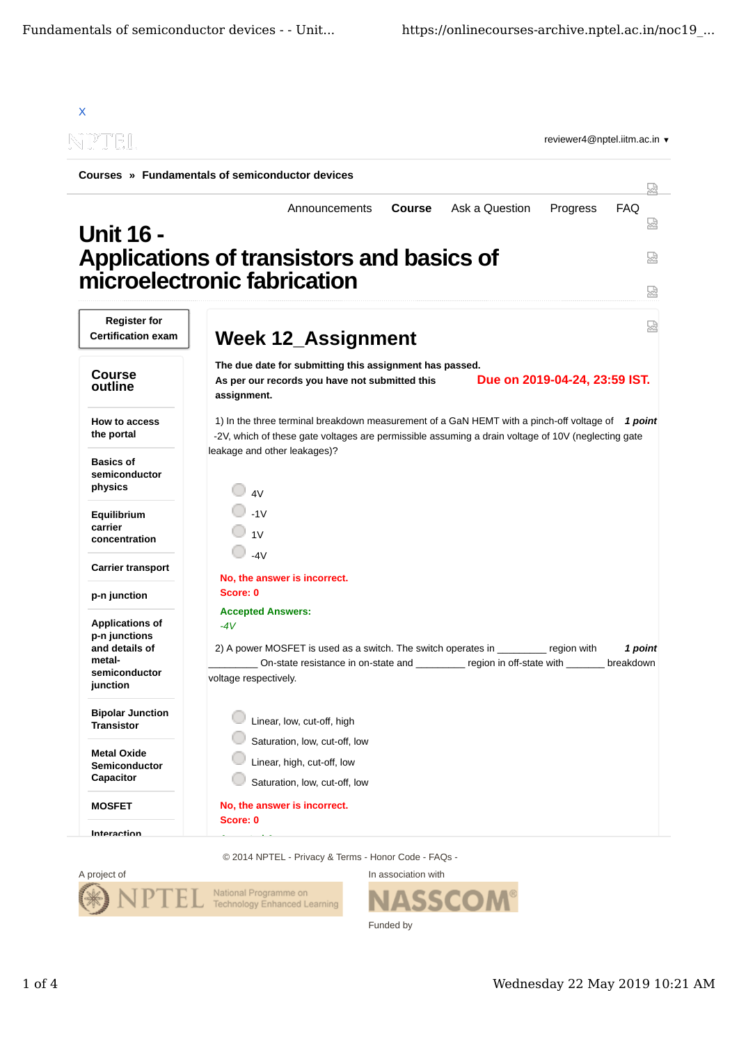

© 2014 NPTEL - Privacy & Terms - Honor Code - FAQs -



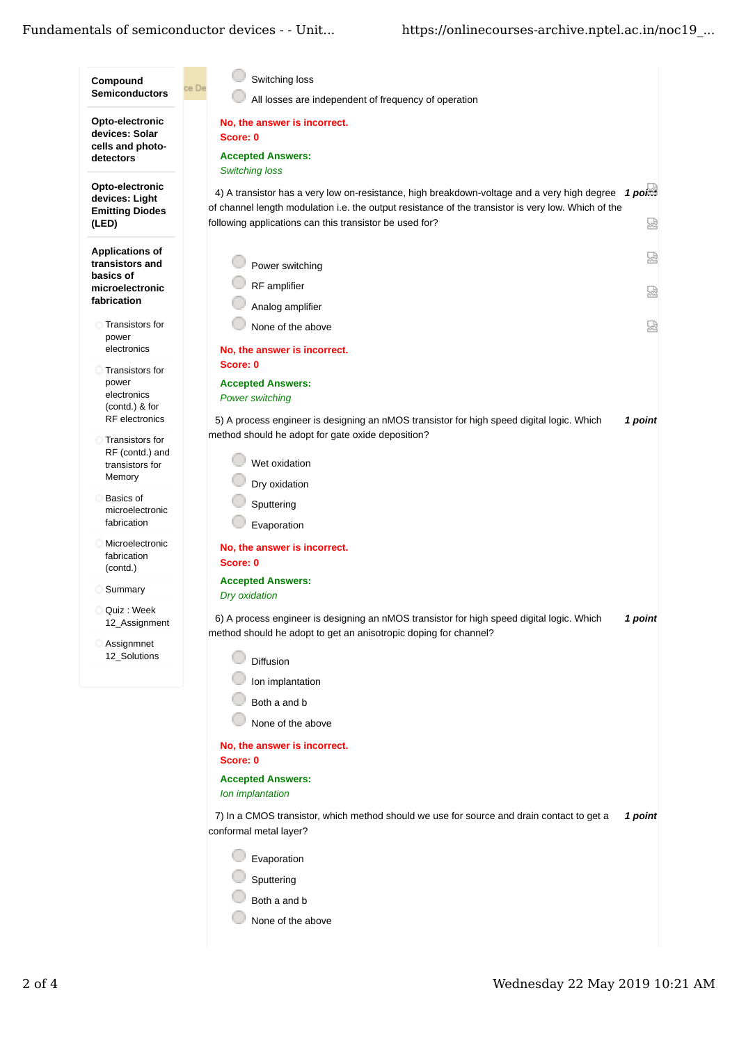## Fundamentals of semiconductor devices - - Unit...

| Compound<br><b>Semiconductors</b>                                                        | Switching loss<br>ce De<br>All losses are independent of frequency of operation                                                                                                                                                                                                                 |         |
|------------------------------------------------------------------------------------------|-------------------------------------------------------------------------------------------------------------------------------------------------------------------------------------------------------------------------------------------------------------------------------------------------|---------|
| Opto-electronic<br>devices: Solar<br>cells and photo-<br>detectors                       | No, the answer is incorrect.<br>Score: 0<br><b>Accepted Answers:</b>                                                                                                                                                                                                                            |         |
| Opto-electronic<br>devices: Light<br><b>Emitting Diodes</b><br>(LED)                     | <b>Switching loss</b><br>4) A transistor has a very low on-resistance, high breakdown-voltage and a very high degree $1$ porm<br>of channel length modulation i.e. the output resistance of the transistor is very low. Which of the<br>following applications can this transistor be used for? | 恳       |
| <b>Applications of</b><br>transistors and<br>basics of<br>microelectronic<br>fabrication | Power switching<br>RF amplifier<br>Analog amplifier                                                                                                                                                                                                                                             | 닯<br>덣  |
| <b>Transistors for</b><br>power<br>electronics                                           | None of the above<br>No, the answer is incorrect.                                                                                                                                                                                                                                               | 덣       |
| Transistors for<br>power<br>electronics<br>(contd.) & for<br>RF electronics              | Score: 0<br><b>Accepted Answers:</b><br><b>Power switching</b><br>5) A process engineer is designing an nMOS transistor for high speed digital logic. Which                                                                                                                                     | 1 point |
| Transistors for<br>RF (contd.) and<br>transistors for<br>Memory                          | method should he adopt for gate oxide deposition?<br>Wet oxidation<br>Dry oxidation                                                                                                                                                                                                             |         |
| <b>Basics of</b><br>microelectronic<br>fabrication                                       | Sputtering<br>Evaporation                                                                                                                                                                                                                                                                       |         |
| Microelectronic<br>fabrication<br>(contd.)                                               | No, the answer is incorrect.<br>Score: 0                                                                                                                                                                                                                                                        |         |
| Summary<br>Quiz: Week                                                                    | <b>Accepted Answers:</b><br>Dry oxidation<br>6) A process engineer is designing an nMOS transistor for high speed digital logic. Which                                                                                                                                                          | 1 point |
| 12_Assignment<br>Assignmnet<br>12_Solutions                                              | method should he adopt to get an anisotropic doping for channel?<br>Diffusion<br>Ion implantation                                                                                                                                                                                               |         |
|                                                                                          | Both a and b<br>None of the above                                                                                                                                                                                                                                                               |         |
|                                                                                          | No, the answer is incorrect.<br>Score: 0<br><b>Accepted Answers:</b>                                                                                                                                                                                                                            |         |
|                                                                                          | Ion implantation<br>7) In a CMOS transistor, which method should we use for source and drain contact to get a<br>conformal metal layer?                                                                                                                                                         | 1 point |
|                                                                                          | Evaporation<br>Sputtering<br>Both a and b                                                                                                                                                                                                                                                       |         |
|                                                                                          | None of the above                                                                                                                                                                                                                                                                               |         |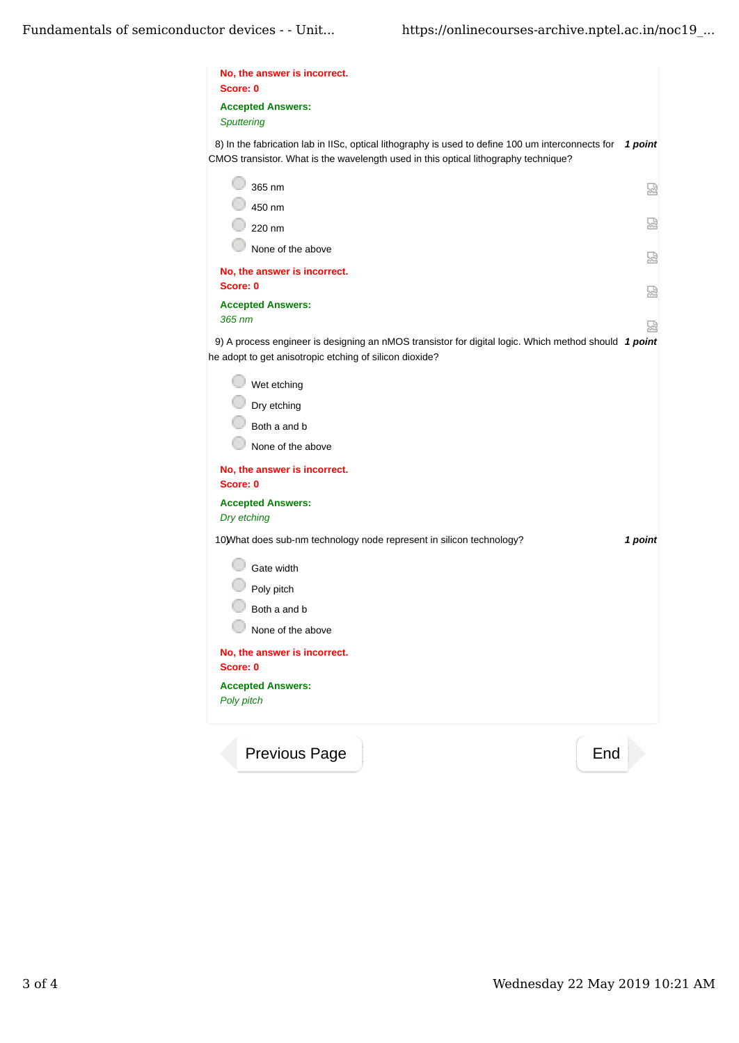| No, the answer is incorrect.<br>Score: 0                                                                                                                                                 |         |
|------------------------------------------------------------------------------------------------------------------------------------------------------------------------------------------|---------|
| <b>Accepted Answers:</b><br><b>Sputtering</b>                                                                                                                                            |         |
| 8) In the fabrication lab in IISc, optical lithography is used to define 100 um interconnects for<br>CMOS transistor. What is the wavelength used in this optical lithography technique? | 1 point |
| 365 nm                                                                                                                                                                                   | 덣       |
| 450 nm<br>220 nm                                                                                                                                                                         | 썼       |
| None of the above                                                                                                                                                                        |         |
| No, the answer is incorrect.                                                                                                                                                             | 덣       |
| Score: 0                                                                                                                                                                                 | 요       |
| <b>Accepted Answers:</b><br>365 nm                                                                                                                                                       |         |
| 9) A process engineer is designing an nMOS transistor for digital logic. Which method should 1 point<br>he adopt to get anisotropic etching of silicon dioxide?                          | 썭       |
| Wet etching                                                                                                                                                                              |         |
| Dry etching                                                                                                                                                                              |         |
| Both a and b                                                                                                                                                                             |         |
| None of the above                                                                                                                                                                        |         |
| No, the answer is incorrect.<br>Score: 0                                                                                                                                                 |         |
| <b>Accepted Answers:</b><br>Dry etching                                                                                                                                                  |         |
| 10) What does sub-nm technology node represent in silicon technology?                                                                                                                    | 1 point |
| Gate width                                                                                                                                                                               |         |
| Poly pitch                                                                                                                                                                               |         |
| Both a and b                                                                                                                                                                             |         |
| None of the above                                                                                                                                                                        |         |
| No, the answer is incorrect.<br>Score: 0                                                                                                                                                 |         |
| <b>Accepted Answers:</b>                                                                                                                                                                 |         |